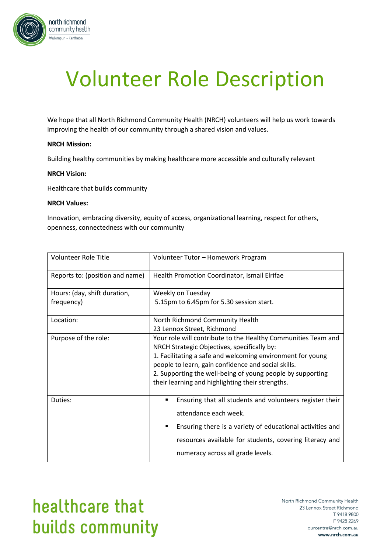

# Volunteer Role Description

We hope that all North Richmond Community Health (NRCH) volunteers will help us work towards improving the health of our community through a shared vision and values.

### **NRCH Mission:**

Building healthy communities by making healthcare more accessible and culturally relevant

#### **NRCH Vision:**

Healthcare that builds community

#### **NRCH Values:**

Innovation, embracing diversity, equity of access, organizational learning, respect for others, openness, connectedness with our community

| Volunteer Role Title            | Volunteer Tutor - Homework Program                                                                                                                                                                                                                                                                                                                  |
|---------------------------------|-----------------------------------------------------------------------------------------------------------------------------------------------------------------------------------------------------------------------------------------------------------------------------------------------------------------------------------------------------|
| Reports to: (position and name) | Health Promotion Coordinator, Ismail Elrifae                                                                                                                                                                                                                                                                                                        |
| Hours: (day, shift duration,    | Weekly on Tuesday                                                                                                                                                                                                                                                                                                                                   |
| frequency)                      | 5.15pm to 6.45pm for 5.30 session start.                                                                                                                                                                                                                                                                                                            |
| Location:                       | North Richmond Community Health                                                                                                                                                                                                                                                                                                                     |
|                                 | 23 Lennox Street, Richmond                                                                                                                                                                                                                                                                                                                          |
| Purpose of the role:            | Your role will contribute to the Healthy Communities Team and<br>NRCH Strategic Objectives, specifically by:<br>1. Facilitating a safe and welcoming environment for young<br>people to learn, gain confidence and social skills.<br>2. Supporting the well-being of young people by supporting<br>their learning and highlighting their strengths. |
| Duties:                         | Ensuring that all students and volunteers register their<br>п<br>attendance each week.                                                                                                                                                                                                                                                              |
|                                 | Ensuring there is a variety of educational activities and                                                                                                                                                                                                                                                                                           |
|                                 | resources available for students, covering literacy and                                                                                                                                                                                                                                                                                             |
|                                 | numeracy across all grade levels.                                                                                                                                                                                                                                                                                                                   |

## healthcare that builds community

North Richmond Community Health 23 Lennox Street Richmond T 9418 9800 F 9428 2269 ourcentre@nrch.com.au www.nrch.com.au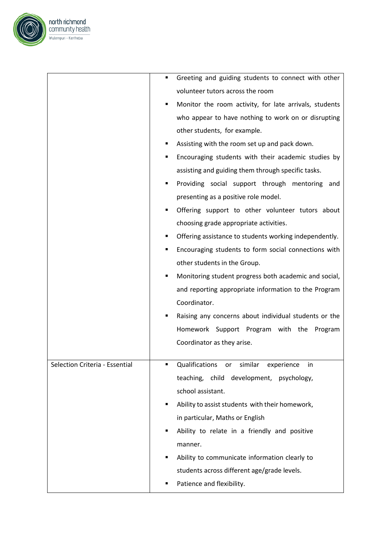

|                                | Greeting and guiding students to connect with other         |
|--------------------------------|-------------------------------------------------------------|
|                                | volunteer tutors across the room                            |
|                                | Monitor the room activity, for late arrivals, students<br>п |
|                                | who appear to have nothing to work on or disrupting         |
|                                | other students, for example.                                |
|                                | Assisting with the room set up and pack down.               |
|                                | Encouraging students with their academic studies by<br>п    |
|                                | assisting and guiding them through specific tasks.          |
|                                | Providing social support through mentoring and<br>п         |
|                                | presenting as a positive role model.                        |
|                                | Offering support to other volunteer tutors about<br>п       |
|                                | choosing grade appropriate activities.                      |
|                                | Offering assistance to students working independently.      |
|                                | Encouraging students to form social connections with<br>٠   |
|                                | other students in the Group.                                |
|                                | Monitoring student progress both academic and social,<br>٠  |
|                                | and reporting appropriate information to the Program        |
|                                | Coordinator.                                                |
|                                | Raising any concerns about individual students or the<br>п  |
|                                | Homework Support Program with the Program                   |
|                                | Coordinator as they arise.                                  |
|                                |                                                             |
| Selection Criteria - Essential | Qualifications or similar experience<br>- in                |
|                                | teaching, child development, psychology,                    |
|                                | school assistant.                                           |
|                                | Ability to assist students with their homework,<br>٠        |
|                                | in particular, Maths or English                             |
|                                | Ability to relate in a friendly and positive<br>٠           |
|                                | manner.                                                     |
|                                | Ability to communicate information clearly to<br>٠          |
|                                | students across different age/grade levels.                 |
|                                | Patience and flexibility.                                   |